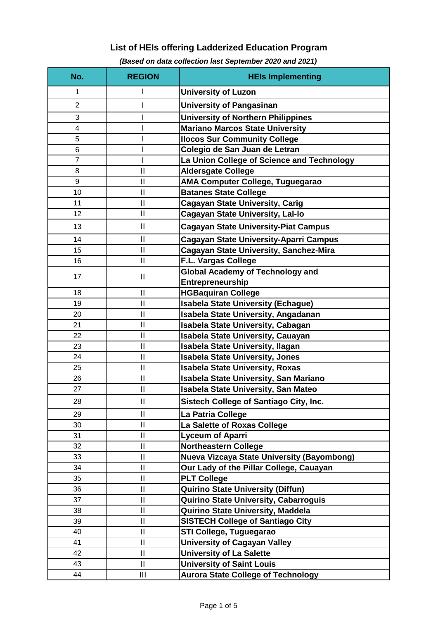## **List of HEIs offering Ladderized Education Program**

| No.            | <b>REGION</b>              | <b>HEIs Implementing</b>                          |
|----------------|----------------------------|---------------------------------------------------|
| 1              |                            | <b>University of Luzon</b>                        |
| $\overline{2}$ |                            | <b>University of Pangasinan</b>                   |
| 3              |                            | <b>University of Northern Philippines</b>         |
| 4              |                            | <b>Mariano Marcos State University</b>            |
| 5              |                            | <b>Ilocos Sur Community College</b>               |
| $6\phantom{1}$ |                            | Colegio de San Juan de Letran                     |
| $\overline{7}$ |                            | La Union College of Science and Technology        |
| 8              | $\mathbf{I}$               | <b>Aldersgate College</b>                         |
| 9              | $\mathbf{I}$               | AMA Computer College, Tuguegarao                  |
| 10             | $\mathbf{I}$               | <b>Batanes State College</b>                      |
| 11             | $\mathbf{I}$               | <b>Cagayan State University, Carig</b>            |
| 12             | $\mathbf{II}$              | <b>Cagayan State University, Lal-lo</b>           |
| 13             | $\mathbf{II}$              | <b>Cagayan State University-Piat Campus</b>       |
| 14             | $\mathbf{I}$               | <b>Cagayan State University-Aparri Campus</b>     |
| 15             | $\mathbf{I}$               | <b>Cagayan State University, Sanchez-Mira</b>     |
| 16             | $\mathbf{I}$               | F.L. Vargas College                               |
| 17             | $\mathbf{I}$               | <b>Global Academy of Technology and</b>           |
|                |                            | Entrepreneurship                                  |
| 18             | $\mathbf{I}$               | <b>HGBaquiran College</b>                         |
| 19             | $\mathbf{I}$               | <b>Isabela State University (Echague)</b>         |
| 20             | $\mathbf{I}$               | Isabela State University, Angadanan               |
| 21             | $\mathbf{I}$               | Isabela State University, Cabagan                 |
| 22             | $\mathbf{I}$               | <b>Isabela State University, Cauayan</b>          |
| 23             | $\mathbf{I}$               | <b>Isabela State University, Ilagan</b>           |
| 24             | $\mathbf{I}$               | <b>Isabela State University, Jones</b>            |
| 25             | $\mathbf{I}$               | <b>Isabela State University, Roxas</b>            |
| 26             | $\mathbf{I}$               | Isabela State University, San Mariano             |
| 27             | $\mathbf{II}$              | <b>Isabela State University, San Mateo</b>        |
| 28             | $\mathbf{I}$               | Sistech College of Santiago City, Inc.            |
| 29             | $\mathbf{I}$               | La Patria College                                 |
| 30             | $\mathbf{II}$              | La Salette of Roxas College                       |
| 31             | $\mathbf{I}$               | <b>Lyceum of Aparri</b>                           |
| 32             | $\mathbf{I}$               | <b>Northeastern College</b>                       |
| 33             | $\mathbf{I}$               | <b>Nueva Vizcaya State University (Bayombong)</b> |
| 34             | $\mathbf{I}$               | Our Lady of the Pillar College, Cauayan           |
| 35             | $\ensuremath{\mathsf{II}}$ | <b>PLT College</b>                                |
| 36             | $\mathbf{I}$               | <b>Quirino State University (Diffun)</b>          |
| 37             | $\mathbf{I}$               | <b>Quirino State University, Cabarroguis</b>      |
| 38             | $\mathbf{II}$              | Quirino State University, Maddela                 |
| 39             | $\mathbf{I}$               | <b>SISTECH College of Santiago City</b>           |
| 40             | $\mathbf{I}$               | STI College, Tuguegarao                           |
| 41             | $\mathbf{I}$               | <b>University of Cagayan Valley</b>               |
| 42             | $\mathbf{II}$              | <b>University of La Salette</b>                   |
| 43             | $\mathbf{II}$              | <b>University of Saint Louis</b>                  |
| 44             | Ш                          | <b>Aurora State College of Technology</b>         |

## *(Based on data collection last September 2020 and 2021)*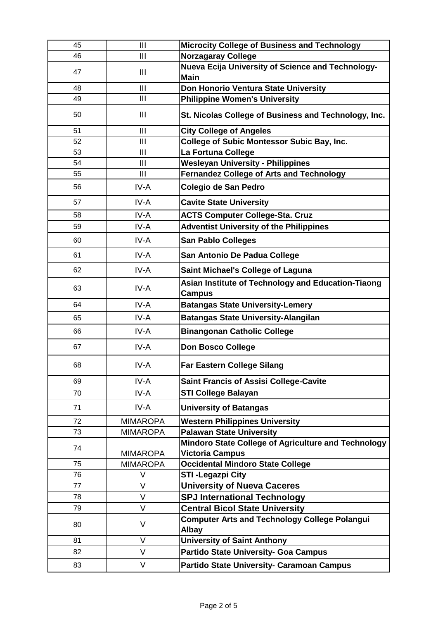| 45 | III             | <b>Microcity College of Business and Technology</b>                  |
|----|-----------------|----------------------------------------------------------------------|
| 46 | III             | <b>Norzagaray College</b>                                            |
| 47 | $\mathbf{III}$  | Nueva Ecija University of Science and Technology-                    |
|    |                 | <b>Main</b>                                                          |
| 48 | III             | Don Honorio Ventura State University                                 |
| 49 | $\mathbf{III}$  | <b>Philippine Women's University</b>                                 |
| 50 | $\mathbf{III}$  | St. Nicolas College of Business and Technology, Inc.                 |
| 51 | III             | <b>City College of Angeles</b>                                       |
| 52 | III             | <b>College of Subic Montessor Subic Bay, Inc.</b>                    |
| 53 | III             | La Fortuna College                                                   |
| 54 | III             | <b>Wesleyan University - Philippines</b>                             |
| 55 | $\mathbf{III}$  | <b>Fernandez College of Arts and Technology</b>                      |
| 56 | IV-A            | Colegio de San Pedro                                                 |
| 57 | IV-A            | <b>Cavite State University</b>                                       |
| 58 | IV-A            | <b>ACTS Computer College-Sta. Cruz</b>                               |
| 59 | IV-A            | <b>Adventist University of the Philippines</b>                       |
| 60 | IV-A            | <b>San Pablo Colleges</b>                                            |
| 61 | IV-A            | San Antonio De Padua College                                         |
| 62 | IV-A            | <b>Saint Michael's College of Laguna</b>                             |
| 63 | IV-A            | Asian Institute of Technology and Education-Tiaong<br><b>Campus</b>  |
| 64 | IV-A            | <b>Batangas State University-Lemery</b>                              |
| 65 | IV-A            | <b>Batangas State University-Alangilan</b>                           |
| 66 | IV-A            | <b>Binangonan Catholic College</b>                                   |
| 67 | IV-A            | <b>Don Bosco College</b>                                             |
| 68 | IV-A            | <b>Far Eastern College Silang</b>                                    |
| 69 | IV-A            | <b>Saint Francis of Assisi College-Cavite</b>                        |
| 70 | IV-A            | <b>STI College Balayan</b>                                           |
| 71 | IV-A            | <b>University of Batangas</b>                                        |
| 72 | <b>MIMAROPA</b> | <b>Western Philippines University</b>                                |
| 73 | <b>MIMAROPA</b> | <b>Palawan State University</b>                                      |
| 74 |                 | Mindoro State College of Agriculture and Technology                  |
|    | <b>MIMAROPA</b> | <b>Victoria Campus</b>                                               |
| 75 | <b>MIMAROPA</b> | <b>Occidental Mindoro State College</b>                              |
| 76 | V               | <b>STI-Legazpi City</b>                                              |
| 77 | V               | <b>University of Nueva Caceres</b>                                   |
| 78 | $\vee$          | <b>SPJ International Technology</b>                                  |
| 79 | V               | <b>Central Bicol State University</b>                                |
| 80 | $\vee$          | <b>Computer Arts and Technology College Polangui</b><br><b>Albay</b> |
| 81 | V               | <b>University of Saint Anthony</b>                                   |
| 82 | V               | <b>Partido State University- Goa Campus</b>                          |
| 83 | V               | Partido State University- Caramoan Campus                            |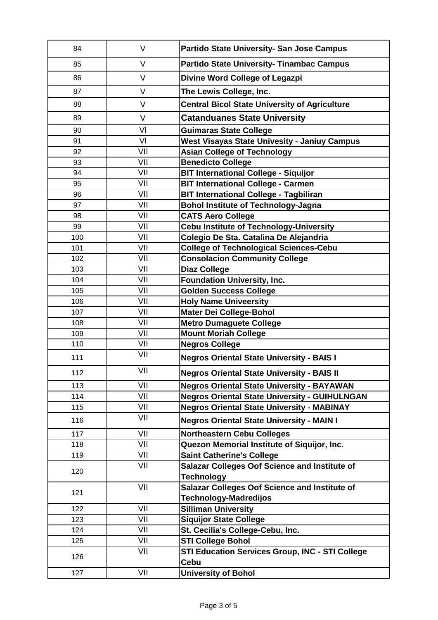| 84  | V      | Partido State University- San Jose Campus                             |
|-----|--------|-----------------------------------------------------------------------|
| 85  | V      | <b>Partido State University- Tinambac Campus</b>                      |
| 86  | V      | Divine Word College of Legazpi                                        |
| 87  | $\vee$ | The Lewis College, Inc.                                               |
| 88  | V      | <b>Central Bicol State University of Agriculture</b>                  |
| 89  | V      | <b>Catanduanes State University</b>                                   |
| 90  | VI     | <b>Guimaras State College</b>                                         |
| 91  | VI     | <b>West Visayas State Univesity - Janiuy Campus</b>                   |
| 92  | VII    | <b>Asian College of Technology</b>                                    |
| 93  | VII    | <b>Benedicto College</b>                                              |
| 94  | VII    | <b>BIT International College - Siquijor</b>                           |
| 95  | VII    | <b>BIT International College - Carmen</b>                             |
| 96  | VII    | <b>BIT International College - Tagbiliran</b>                         |
| 97  | VII    | <b>Bohol Institute of Technology-Jagna</b>                            |
| 98  | VII    | <b>CATS Aero College</b>                                              |
| 99  | VII    | <b>Cebu Institute of Technology-University</b>                        |
| 100 | VII    | Colegio De Sta. Catalina De Alejandria                                |
| 101 | VII    | <b>College of Technological Sciences-Cebu</b>                         |
| 102 | VII    | <b>Consolacion Community College</b>                                  |
| 103 | VII    | <b>Diaz College</b>                                                   |
| 104 | VII    | <b>Foundation University, Inc.</b>                                    |
| 105 | VII    | <b>Golden Success College</b>                                         |
| 106 | VII    | <b>Holy Name Univeersity</b>                                          |
| 107 | VII    | <b>Mater Dei College-Bohol</b>                                        |
| 108 | VII    | <b>Metro Dumaguete College</b>                                        |
| 109 | VII    | <b>Mount Moriah College</b>                                           |
| 110 | VII    | <b>Negros College</b>                                                 |
| 111 | VII    | <b>Negros Oriental State University - BAIS I</b>                      |
| 112 | VII    | <b>Negros Oriental State University - BAIS II</b>                     |
|     | VII    |                                                                       |
| 113 |        | <b>Negros Oriental State University - BAYAWAN</b>                     |
| 114 | VII    | <b>Negros Oriental State University - GUIHULNGAN</b>                  |
| 115 | VII    | <b>Negros Oriental State University - MABINAY</b>                     |
| 116 | VII    | <b>Negros Oriental State University - MAIN I</b>                      |
| 117 | VII    | <b>Northeastern Cebu Colleges</b>                                     |
| 118 | VII    | Quezon Memorial Institute of Siquijor, Inc.                           |
| 119 | VII    | <b>Saint Catherine's College</b>                                      |
| 120 | VII    | <b>Salazar Colleges Oof Science and Institute of</b>                  |
|     |        | <b>Technology</b>                                                     |
| 121 | VII    | <b>Salazar Colleges Oof Science and Institute of</b>                  |
|     |        | <b>Technology-Madredijos</b>                                          |
| 122 | VII    | <b>Silliman University</b>                                            |
| 123 | VII    | <b>Siquijor State College</b>                                         |
| 124 | VII    | St. Cecilia's College-Cebu, Inc.                                      |
| 125 | VII    | <b>STI College Bohol</b>                                              |
| 126 | VII    | <b>STI Education Services Group, INC - STI College</b><br><b>Cebu</b> |
| 127 | VII    | <b>University of Bohol</b>                                            |
|     |        |                                                                       |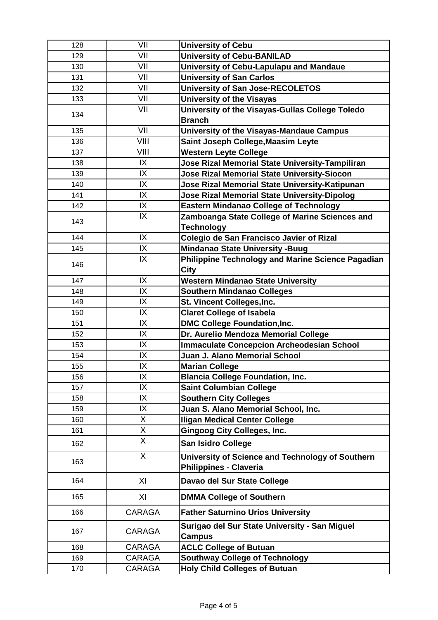| 128 | VII           | <b>University of Cebu</b>                                                  |
|-----|---------------|----------------------------------------------------------------------------|
| 129 | VII           | <b>University of Cebu-BANILAD</b>                                          |
| 130 | VII           |                                                                            |
| 131 | VII           | University of Cebu-Lapulapu and Mandaue<br><b>University of San Carlos</b> |
| 132 | VII           |                                                                            |
| 133 | VII           | <b>University of San Jose-RECOLETOS</b>                                    |
|     |               | <b>University of the Visayas</b>                                           |
| 134 | VII           | University of the Visayas-Gullas College Toledo<br><b>Branch</b>           |
| 135 | VII           | University of the Visayas-Mandaue Campus                                   |
| 136 | VIII          | Saint Joseph College, Maasim Leyte                                         |
| 137 | VIII          | <b>Western Leyte College</b>                                               |
| 138 | IX            | Jose Rizal Memorial State University-Tampiliran                            |
| 139 | IX            | <b>Jose Rizal Memorial State University-Siocon</b>                         |
| 140 | IX            | Jose Rizal Memorial State University-Katipunan                             |
| 141 | IX            | <b>Jose Rizal Memorial State University-Dipolog</b>                        |
| 142 | IX            | <b>Eastern Mindanao College of Technology</b>                              |
| 143 | IX            | Zamboanga State College of Marine Sciences and                             |
|     |               | <b>Technology</b>                                                          |
| 144 | IX            | Colegio de San Francisco Javier of Rizal                                   |
| 145 | IX            | <b>Mindanao State University -Buug</b>                                     |
|     | IX            | Philippine Technology and Marine Science Pagadian                          |
| 146 |               | <b>City</b>                                                                |
| 147 | IX            | <b>Western Mindanao State University</b>                                   |
| 148 | IX            | <b>Southern Mindanao Colleges</b>                                          |
| 149 | IX            | St. Vincent Colleges, Inc.                                                 |
| 150 | IX            | <b>Claret College of Isabela</b>                                           |
| 151 | IX            | <b>DMC College Foundation, Inc.</b>                                        |
| 152 | IX            | Dr. Aurelio Mendoza Memorial College                                       |
| 153 | IX            | <b>Immaculate Concepcion Archeodesian School</b>                           |
| 154 | IX            | <b>Juan J. Alano Memorial School</b>                                       |
| 155 | IX            | <b>Marian College</b>                                                      |
| 156 | IX            | <b>Blancia College Foundation, Inc.</b>                                    |
| 157 | IX            | <b>Saint Columbian College</b>                                             |
| 158 | IX            | <b>Southern City Colleges</b>                                              |
| 159 | IX            | Juan S. Alano Memorial School, Inc.                                        |
| 160 | X             | <b>Iligan Medical Center College</b>                                       |
| 161 | X             | <b>Gingoog City Colleges, Inc.</b>                                         |
| 162 | $\mathsf{X}$  | <b>San Isidro College</b>                                                  |
|     |               |                                                                            |
| 163 | X             | University of Science and Technology of Southern                           |
|     |               | <b>Philippines - Claveria</b>                                              |
| 164 | XI            | Davao del Sur State College                                                |
| 165 | XI            | <b>DMMA College of Southern</b>                                            |
| 166 | <b>CARAGA</b> | <b>Father Saturnino Urios University</b>                                   |
| 167 | <b>CARAGA</b> | Surigao del Sur State University - San Miguel<br><b>Campus</b>             |
| 168 | CARAGA        | <b>ACLC College of Butuan</b>                                              |
| 169 | <b>CARAGA</b> | <b>Southway College of Technology</b>                                      |
| 170 | CARAGA        | <b>Holy Child Colleges of Butuan</b>                                       |
|     |               |                                                                            |